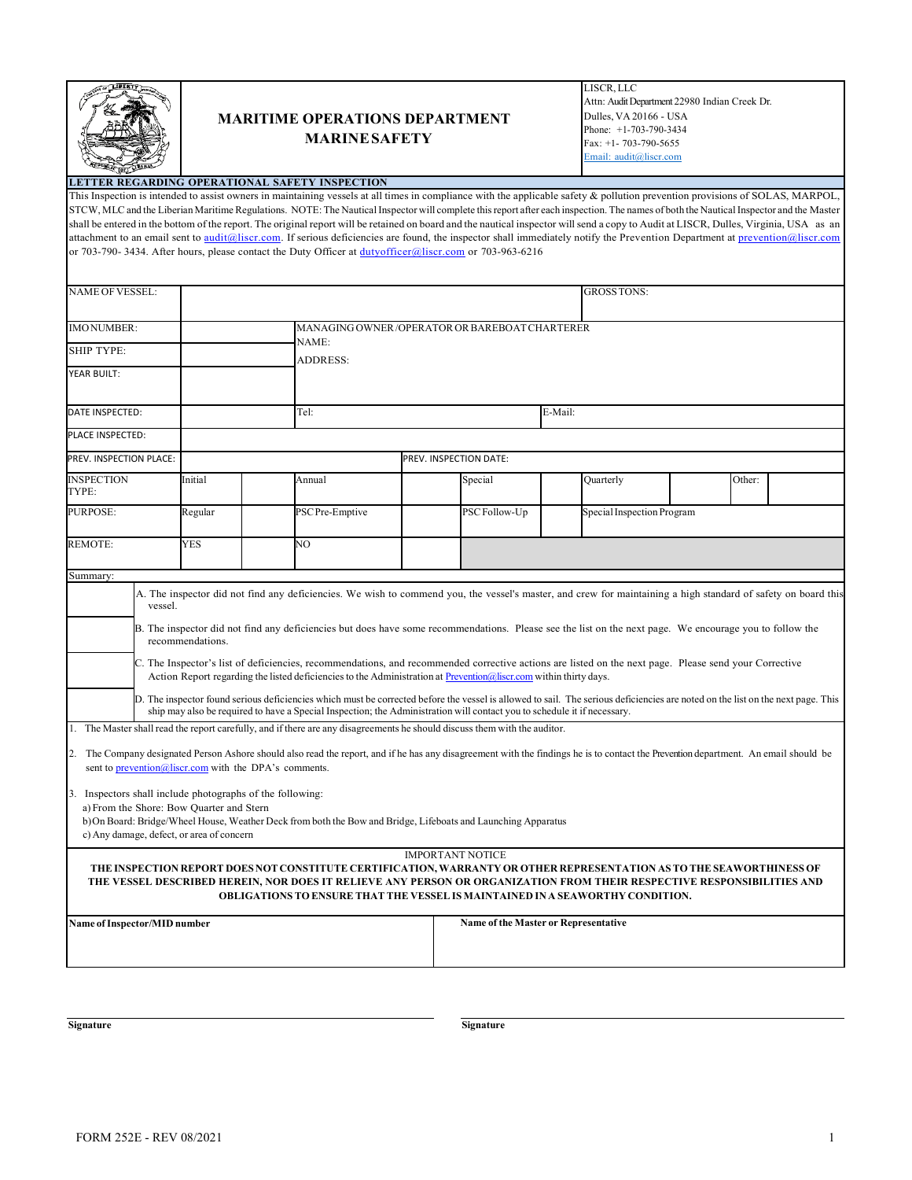

## **MARITIME OPERATIONS DEPARTMENT MARINESAFETY**

LISCR, LLC Attn: Audit Department 22980 Indian Creek Dr. Dulles, VA 20166 - USA Phone: +1-703-790-3434 Fax: +1- 703-790-5655 Email: audit@liscr.com

## **LETTER REGARDING OPERATIONAL SAFETY INSPECTION**

This Inspection is intended to assist owners in maintaining vessels at all times in compliance with the applicable safety & pollution prevention provisions of SOLAS, MARPOL, STCW, MLC and the Liberian Maritime Regulations. NOTE:The Nautical Inspector will complete this report after each inspection. The names of both the Nautical Inspector and the Master shall be entered in the bottom of the report. The original report will be retained on board and the nautical inspector will send a copy to Audit at LISCR, Dulles, Virginia, USA as an attachment to an email sent to audit@liscr.com. If serious deficiencies are found, the inspector shall immediately notify the Prevention Department at prevention@liscr.com or 703-790- 3434. After hours, please contact the Duty Officer at dutyofficer@liscr.com or 703-963-6216

| NAME OF VESSEL:                                                                                                                                                                                                                                                                                                                                                                                                                                                                                                                                                                                                                                                                                                                                                                                                                                                                                                                                                                                                                                                                                                                                                                                                                                                                                                                      | <b>GROSSTONS:</b>                             |                                                                                                                                                                                                                                                                                                                                 |  |                                      |  |                            |  |        |  |  |  |
|--------------------------------------------------------------------------------------------------------------------------------------------------------------------------------------------------------------------------------------------------------------------------------------------------------------------------------------------------------------------------------------------------------------------------------------------------------------------------------------------------------------------------------------------------------------------------------------------------------------------------------------------------------------------------------------------------------------------------------------------------------------------------------------------------------------------------------------------------------------------------------------------------------------------------------------------------------------------------------------------------------------------------------------------------------------------------------------------------------------------------------------------------------------------------------------------------------------------------------------------------------------------------------------------------------------------------------------|-----------------------------------------------|---------------------------------------------------------------------------------------------------------------------------------------------------------------------------------------------------------------------------------------------------------------------------------------------------------------------------------|--|--------------------------------------|--|----------------------------|--|--------|--|--|--|
| <b>IMONUMBER:</b>                                                                                                                                                                                                                                                                                                                                                                                                                                                                                                                                                                                                                                                                                                                                                                                                                                                                                                                                                                                                                                                                                                                                                                                                                                                                                                                    | MANAGING OWNER/OPERATOR OR BAREBOAT CHARTERER |                                                                                                                                                                                                                                                                                                                                 |  |                                      |  |                            |  |        |  |  |  |
| <b>SHIP TYPE:</b>                                                                                                                                                                                                                                                                                                                                                                                                                                                                                                                                                                                                                                                                                                                                                                                                                                                                                                                                                                                                                                                                                                                                                                                                                                                                                                                    |                                               | NAME:<br><b>ADDRESS:</b>                                                                                                                                                                                                                                                                                                        |  |                                      |  |                            |  |        |  |  |  |
| YEAR BUILT:                                                                                                                                                                                                                                                                                                                                                                                                                                                                                                                                                                                                                                                                                                                                                                                                                                                                                                                                                                                                                                                                                                                                                                                                                                                                                                                          |                                               |                                                                                                                                                                                                                                                                                                                                 |  |                                      |  |                            |  |        |  |  |  |
| DATE INSPECTED:                                                                                                                                                                                                                                                                                                                                                                                                                                                                                                                                                                                                                                                                                                                                                                                                                                                                                                                                                                                                                                                                                                                                                                                                                                                                                                                      |                                               | Tel:                                                                                                                                                                                                                                                                                                                            |  | E-Mail:                              |  |                            |  |        |  |  |  |
| PLACE INSPECTED:                                                                                                                                                                                                                                                                                                                                                                                                                                                                                                                                                                                                                                                                                                                                                                                                                                                                                                                                                                                                                                                                                                                                                                                                                                                                                                                     |                                               |                                                                                                                                                                                                                                                                                                                                 |  |                                      |  |                            |  |        |  |  |  |
| PREV. INSPECTION PLACE:                                                                                                                                                                                                                                                                                                                                                                                                                                                                                                                                                                                                                                                                                                                                                                                                                                                                                                                                                                                                                                                                                                                                                                                                                                                                                                              |                                               |                                                                                                                                                                                                                                                                                                                                 |  | PREV. INSPECTION DATE:               |  |                            |  |        |  |  |  |
| <b>INSPECTION</b><br>TYPE:                                                                                                                                                                                                                                                                                                                                                                                                                                                                                                                                                                                                                                                                                                                                                                                                                                                                                                                                                                                                                                                                                                                                                                                                                                                                                                           | Initial                                       | Annual                                                                                                                                                                                                                                                                                                                          |  | Special                              |  | Quarterly                  |  | Other: |  |  |  |
| <b>PURPOSE:</b>                                                                                                                                                                                                                                                                                                                                                                                                                                                                                                                                                                                                                                                                                                                                                                                                                                                                                                                                                                                                                                                                                                                                                                                                                                                                                                                      | Regular                                       | PSC Pre-Emptive                                                                                                                                                                                                                                                                                                                 |  | PSC Follow-Up                        |  | Special Inspection Program |  |        |  |  |  |
| REMOTE:                                                                                                                                                                                                                                                                                                                                                                                                                                                                                                                                                                                                                                                                                                                                                                                                                                                                                                                                                                                                                                                                                                                                                                                                                                                                                                                              | <b>YES</b>                                    | NO                                                                                                                                                                                                                                                                                                                              |  |                                      |  |                            |  |        |  |  |  |
| Summary:                                                                                                                                                                                                                                                                                                                                                                                                                                                                                                                                                                                                                                                                                                                                                                                                                                                                                                                                                                                                                                                                                                                                                                                                                                                                                                                             |                                               |                                                                                                                                                                                                                                                                                                                                 |  |                                      |  |                            |  |        |  |  |  |
| A. The inspector did not find any deficiencies. We wish to commend you, the vessel's master, and crew for maintaining a high standard of safety on board this<br>vessel.<br>B. The inspector did not find any deficiencies but does have some recommendations. Please see the list on the next page. We encourage you to follow the<br>recommendations.<br>C. The Inspector's list of deficiencies, recommendations, and recommended corrective actions are listed on the next page. Please send your Corrective<br>Action Report regarding the listed deficiencies to the Administration at Prevention @liscr.com within thirty days.<br>D. The inspector found serious deficiencies which must be corrected before the vessel is allowed to sail. The serious deficiencies are noted on the list on the next page. This<br>ship may also be required to have a Special Inspection; the Administration will contact you to schedule it if necessary.<br>1. The Master shall read the report carefully, and if there are any disagreements he should discuss them with the auditor.<br>2. The Company designated Person Ashore should also read the report, and if he has any disagreement with the findings he is to contact the Prevention department. An email should be<br>sent to prevention@liscr.com with the DPA's comments. |                                               |                                                                                                                                                                                                                                                                                                                                 |  |                                      |  |                            |  |        |  |  |  |
| Inspectors shall include photographs of the following:<br>3.<br>a) From the Shore: Bow Quarter and Stern<br>b) On Board: Bridge/Wheel House, Weather Deck from both the Bow and Bridge, Lifeboats and Launching Apparatus<br>c) Any damage, defect, or area of concern                                                                                                                                                                                                                                                                                                                                                                                                                                                                                                                                                                                                                                                                                                                                                                                                                                                                                                                                                                                                                                                               |                                               |                                                                                                                                                                                                                                                                                                                                 |  |                                      |  |                            |  |        |  |  |  |
|                                                                                                                                                                                                                                                                                                                                                                                                                                                                                                                                                                                                                                                                                                                                                                                                                                                                                                                                                                                                                                                                                                                                                                                                                                                                                                                                      |                                               | THE INSPECTION REPORT DOES NOT CONSTITUTE CERTIFICATION, WARRANTY OR OTHER REPRESENTATION AS TO THE SEAWORTHINESS OF<br>THE VESSEL DESCRIBED HEREIN, NOR DOES IT RELIEVE ANY PERSON OR ORGANIZATION FROM THEIR RESPECTIVE RESPONSIBILITIES AND<br>OBLIGATIONS TO ENSURE THAT THE VESSEL IS MAINTAINED IN A SEAWORTHY CONDITION. |  | <b>IMPORTANT NOTICE</b>              |  |                            |  |        |  |  |  |
| Name of Inspector/MID number                                                                                                                                                                                                                                                                                                                                                                                                                                                                                                                                                                                                                                                                                                                                                                                                                                                                                                                                                                                                                                                                                                                                                                                                                                                                                                         |                                               |                                                                                                                                                                                                                                                                                                                                 |  | Name of the Master or Representative |  |                            |  |        |  |  |  |

**Signature Signature Signature Signature**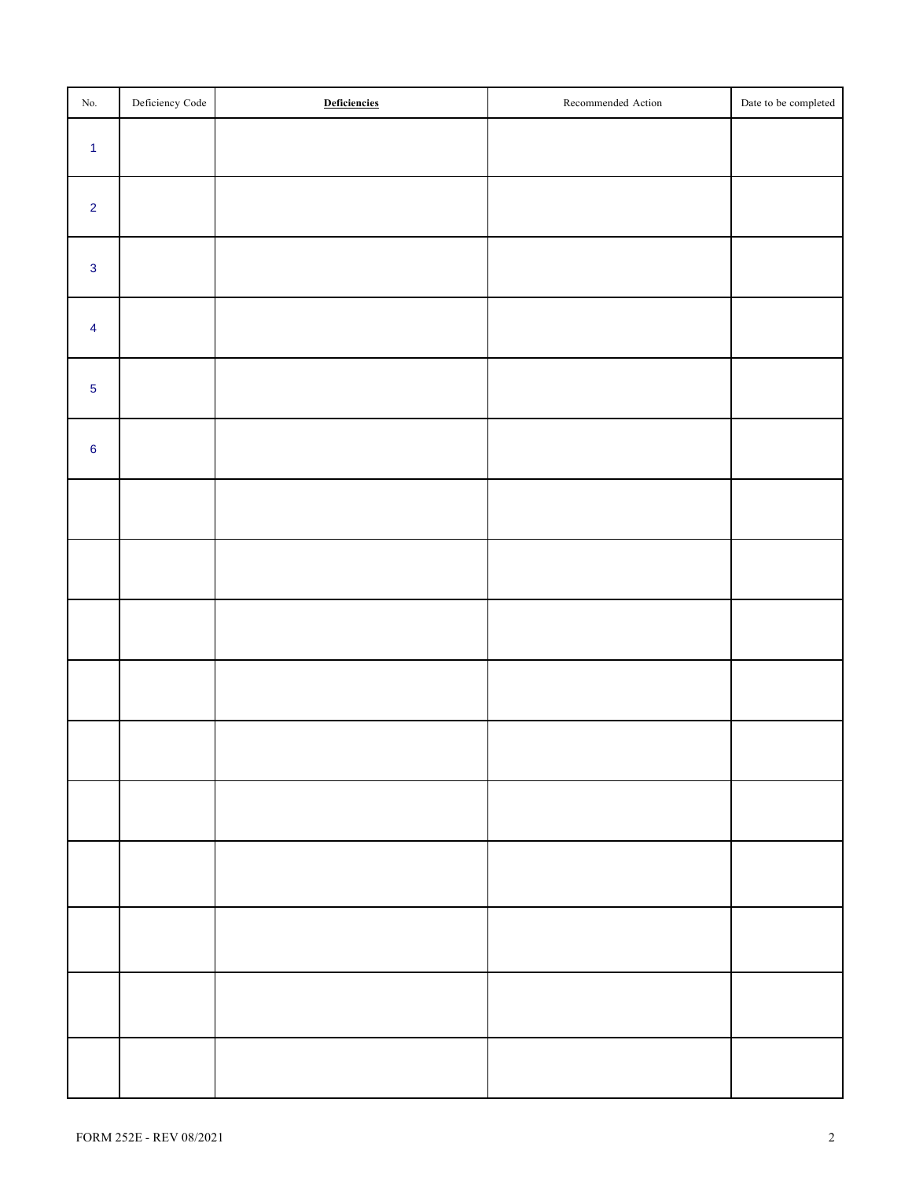| $\rm No.$      | Deficiency Code | Deficiencies | Recommended Action | Date to be completed |
|----------------|-----------------|--------------|--------------------|----------------------|
| $\overline{1}$ |                 |              |                    |                      |
| $\overline{2}$ |                 |              |                    |                      |
| $\overline{3}$ |                 |              |                    |                      |
| $\overline{4}$ |                 |              |                    |                      |
| $\overline{5}$ |                 |              |                    |                      |
| $6\phantom{a}$ |                 |              |                    |                      |
|                |                 |              |                    |                      |
|                |                 |              |                    |                      |
|                |                 |              |                    |                      |
|                |                 |              |                    |                      |
|                |                 |              |                    |                      |
|                |                 |              |                    |                      |
|                |                 |              |                    |                      |
|                |                 |              |                    |                      |
|                |                 |              |                    |                      |
|                |                 |              |                    |                      |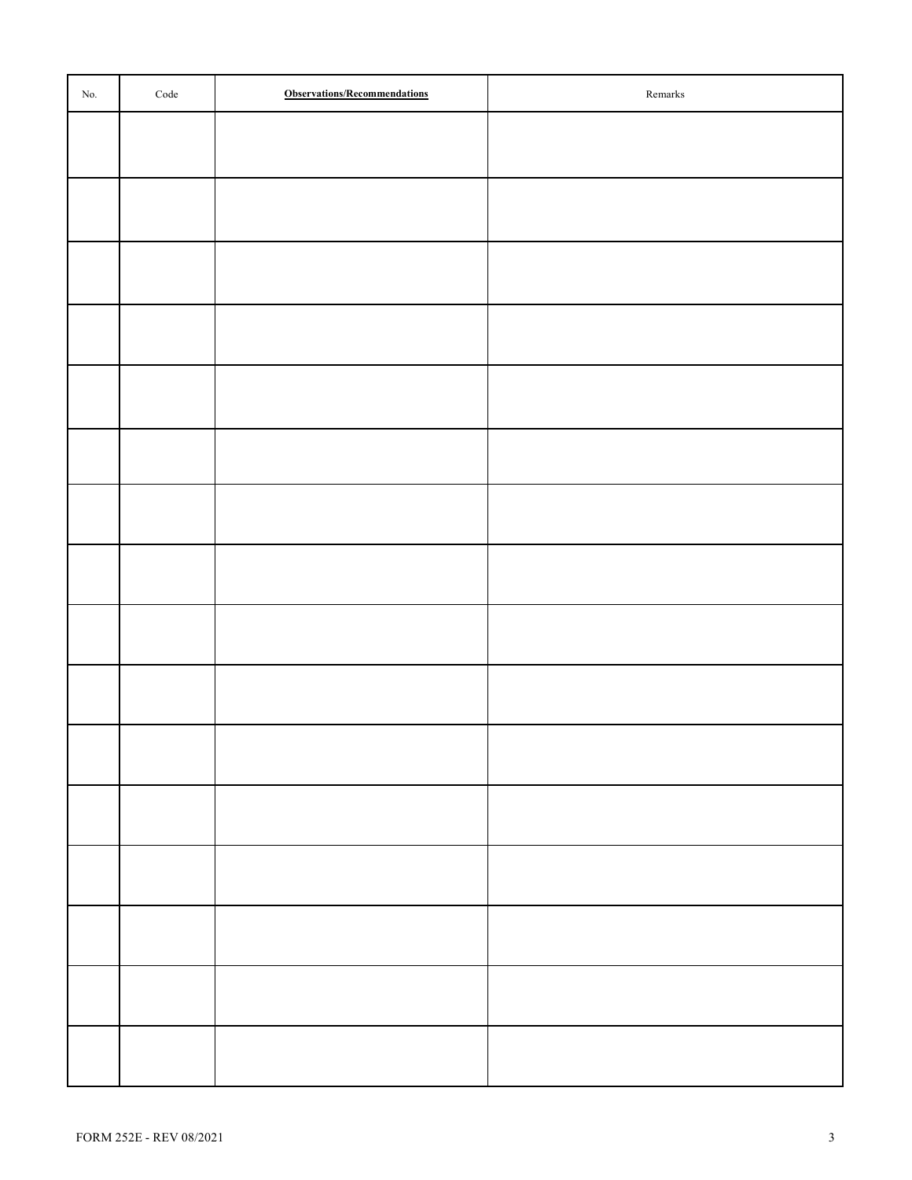| No. | $\rm Code$ | <b>Observations/Recommendations</b> | $\mbox{Remarks}$ |
|-----|------------|-------------------------------------|------------------|
|     |            |                                     |                  |
|     |            |                                     |                  |
|     |            |                                     |                  |
|     |            |                                     |                  |
|     |            |                                     |                  |
|     |            |                                     |                  |
|     |            |                                     |                  |
|     |            |                                     |                  |
|     |            |                                     |                  |
|     |            |                                     |                  |
|     |            |                                     |                  |
|     |            |                                     |                  |
|     |            |                                     |                  |
|     |            |                                     |                  |
|     |            |                                     |                  |
|     |            |                                     |                  |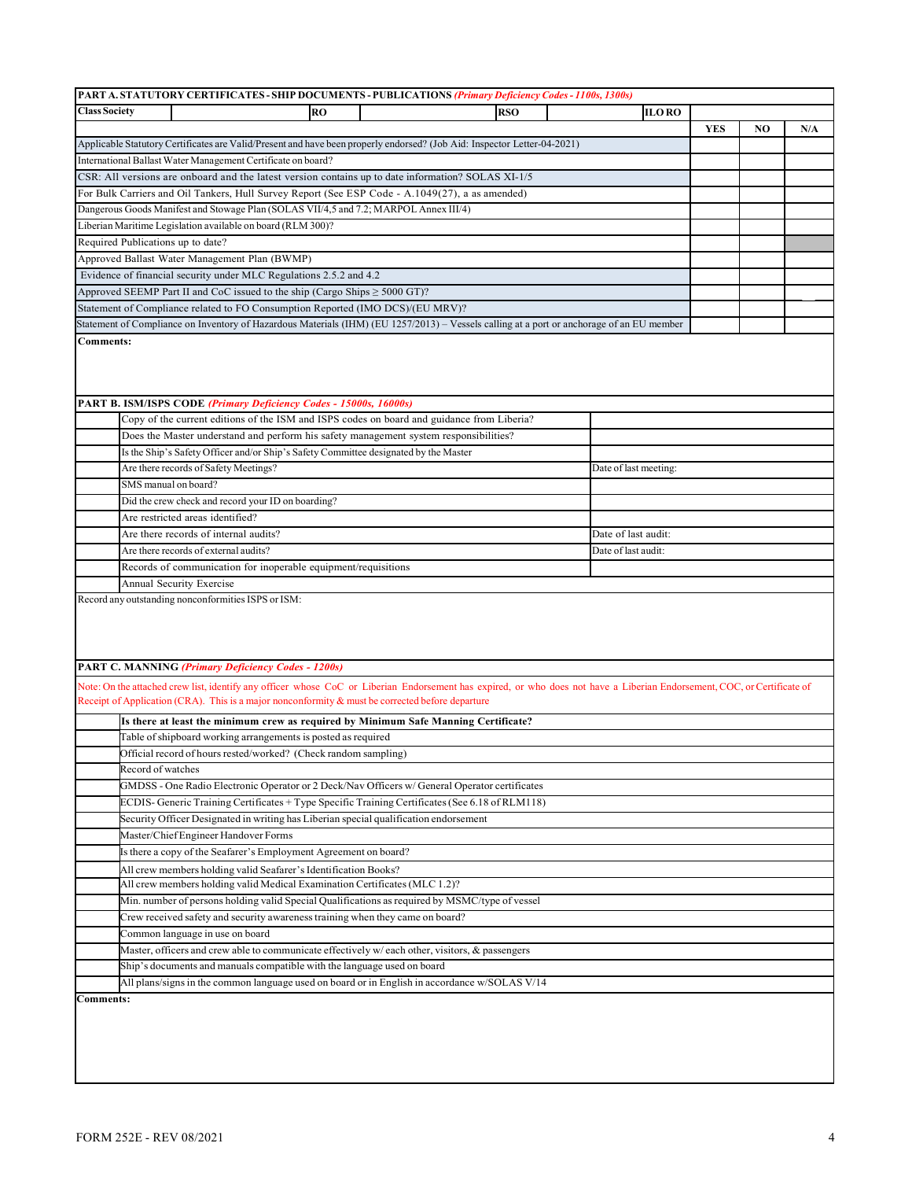|                      | PART A. STATUTORY CERTIFICATES - SHIP DOCUMENTS - PUBLICATIONS (Primary Deficiency Codes - 1100s, 1300s)                                                                                 |           |  |            |  |                       |              |            |    |     |  |  |  |
|----------------------|------------------------------------------------------------------------------------------------------------------------------------------------------------------------------------------|-----------|--|------------|--|-----------------------|--------------|------------|----|-----|--|--|--|
| <b>Class Society</b> |                                                                                                                                                                                          | <b>RO</b> |  | <b>RSO</b> |  |                       | <b>ILORO</b> |            |    |     |  |  |  |
|                      |                                                                                                                                                                                          |           |  |            |  |                       |              | <b>YES</b> | NO | N/A |  |  |  |
|                      | Applicable Statutory Certificates are Valid/Present and have been properly endorsed? (Job Aid: Inspector Letter-04-2021)                                                                 |           |  |            |  |                       |              |            |    |     |  |  |  |
|                      | International Ballast Water Management Certificate on board?                                                                                                                             |           |  |            |  |                       |              |            |    |     |  |  |  |
|                      | CSR: All versions are onboard and the latest version contains up to date information? SOLAS XI-1/5                                                                                       |           |  |            |  |                       |              |            |    |     |  |  |  |
|                      |                                                                                                                                                                                          |           |  |            |  |                       |              |            |    |     |  |  |  |
|                      | For Bulk Carriers and Oil Tankers, Hull Survey Report (See ESP Code - A.1049(27), a as amended)<br>Dangerous Goods Manifest and Stowage Plan (SOLAS VII/4,5 and 7.2; MARPOL Annex III/4) |           |  |            |  |                       |              |            |    |     |  |  |  |
|                      |                                                                                                                                                                                          |           |  |            |  |                       |              |            |    |     |  |  |  |
|                      | Liberian Maritime Legislation available on board (RLM 300)?                                                                                                                              |           |  |            |  |                       |              |            |    |     |  |  |  |
|                      | Required Publications up to date?                                                                                                                                                        |           |  |            |  |                       |              |            |    |     |  |  |  |
|                      | Approved Ballast Water Management Plan (BWMP)                                                                                                                                            |           |  |            |  |                       |              |            |    |     |  |  |  |
|                      | Evidence of financial security under MLC Regulations 2.5.2 and 4.2                                                                                                                       |           |  |            |  |                       |              |            |    |     |  |  |  |
|                      | Approved SEEMP Part II and CoC issued to the ship (Cargo Ships $\geq$ 5000 GT)?                                                                                                          |           |  |            |  |                       |              |            |    |     |  |  |  |
|                      | Statement of Compliance related to FO Consumption Reported (IMO DCS)/(EU MRV)?                                                                                                           |           |  |            |  |                       |              |            |    |     |  |  |  |
|                      | Statement of Compliance on Inventory of Hazardous Materials (IHM) (EU 1257/2013) - Vessels calling at a port or anchorage of an EU member                                                |           |  |            |  |                       |              |            |    |     |  |  |  |
| <b>Comments:</b>     |                                                                                                                                                                                          |           |  |            |  |                       |              |            |    |     |  |  |  |
|                      |                                                                                                                                                                                          |           |  |            |  |                       |              |            |    |     |  |  |  |
|                      | PART B. ISM/ISPS CODE (Primary Deficiency Codes - 15000s, 16000s)                                                                                                                        |           |  |            |  |                       |              |            |    |     |  |  |  |
|                      | Copy of the current editions of the ISM and ISPS codes on board and guidance from Liberia?                                                                                               |           |  |            |  |                       |              |            |    |     |  |  |  |
|                      | Does the Master understand and perform his safety management system responsibilities?                                                                                                    |           |  |            |  |                       |              |            |    |     |  |  |  |
|                      | Is the Ship's Safety Officer and/or Ship's Safety Committee designated by the Master                                                                                                     |           |  |            |  |                       |              |            |    |     |  |  |  |
|                      | Are there records of Safety Meetings?                                                                                                                                                    |           |  |            |  | Date of last meeting: |              |            |    |     |  |  |  |
|                      | SMS manual on board?                                                                                                                                                                     |           |  |            |  |                       |              |            |    |     |  |  |  |
|                      | Did the crew check and record your ID on boarding?                                                                                                                                       |           |  |            |  |                       |              |            |    |     |  |  |  |
|                      | Are restricted areas identified?                                                                                                                                                         |           |  |            |  |                       |              |            |    |     |  |  |  |
|                      | Are there records of internal audits?<br>Date of last audit:                                                                                                                             |           |  |            |  |                       |              |            |    |     |  |  |  |
|                      | Are there records of external audits?<br>Date of last audit:                                                                                                                             |           |  |            |  |                       |              |            |    |     |  |  |  |
|                      | Records of communication for inoperable equipment/requisitions                                                                                                                           |           |  |            |  |                       |              |            |    |     |  |  |  |
|                      |                                                                                                                                                                                          |           |  |            |  |                       |              |            |    |     |  |  |  |
|                      | Annual Security Exercise                                                                                                                                                                 |           |  |            |  |                       |              |            |    |     |  |  |  |
|                      | Record any outstanding nonconformities ISPS or ISM:                                                                                                                                      |           |  |            |  |                       |              |            |    |     |  |  |  |
|                      |                                                                                                                                                                                          |           |  |            |  |                       |              |            |    |     |  |  |  |
|                      |                                                                                                                                                                                          |           |  |            |  |                       |              |            |    |     |  |  |  |
|                      | <b>PART C. MANNING (Primary Deficiency Codes - 1200s)</b>                                                                                                                                |           |  |            |  |                       |              |            |    |     |  |  |  |
|                      |                                                                                                                                                                                          |           |  |            |  |                       |              |            |    |     |  |  |  |
|                      | Note: On the attached crew list, identify any officer whose CoC or Liberian Endorsement has expired, or who does not have a Liberian Endorsement, COC, or Certificate of                 |           |  |            |  |                       |              |            |    |     |  |  |  |
|                      | Receipt of Application (CRA). This is a major nonconformity & must be corrected before departure                                                                                         |           |  |            |  |                       |              |            |    |     |  |  |  |
|                      | Is there at least the minimum crew as required by Minimum Safe Manning Certificate?                                                                                                      |           |  |            |  |                       |              |            |    |     |  |  |  |
|                      | Table of shipboard working arrangements is posted as required                                                                                                                            |           |  |            |  |                       |              |            |    |     |  |  |  |
|                      | Official record of hours rested/worked? (Check random sampling)                                                                                                                          |           |  |            |  |                       |              |            |    |     |  |  |  |
|                      | Record of watches                                                                                                                                                                        |           |  |            |  |                       |              |            |    |     |  |  |  |
|                      | GMDSS - One Radio Electronic Operator or 2 Deck/Nav Officers w/ General Operator certificates                                                                                            |           |  |            |  |                       |              |            |    |     |  |  |  |
|                      | ECDIS- Generic Training Certificates + Type Specific Training Certificates (See 6.18 of RLM118)                                                                                          |           |  |            |  |                       |              |            |    |     |  |  |  |
|                      | Security Officer Designated in writing has Liberian special qualification endorsement                                                                                                    |           |  |            |  |                       |              |            |    |     |  |  |  |
|                      | Master/Chief Engineer Handover Forms                                                                                                                                                     |           |  |            |  |                       |              |            |    |     |  |  |  |
|                      | Is there a copy of the Seafarer's Employment Agreement on board?                                                                                                                         |           |  |            |  |                       |              |            |    |     |  |  |  |
|                      | All crew members holding valid Seafarer's Identification Books?                                                                                                                          |           |  |            |  |                       |              |            |    |     |  |  |  |
|                      | All crew members holding valid Medical Examination Certificates (MLC 1.2)?                                                                                                               |           |  |            |  |                       |              |            |    |     |  |  |  |
|                      | Min. number of persons holding valid Special Qualifications as required by MSMC/type of vessel                                                                                           |           |  |            |  |                       |              |            |    |     |  |  |  |
|                      | Crew received safety and security awareness training when they came on board?                                                                                                            |           |  |            |  |                       |              |            |    |     |  |  |  |
|                      |                                                                                                                                                                                          |           |  |            |  |                       |              |            |    |     |  |  |  |
|                      | Common language in use on board                                                                                                                                                          |           |  |            |  |                       |              |            |    |     |  |  |  |
|                      | Master, officers and crew able to communicate effectively w/each other, visitors, & passengers                                                                                           |           |  |            |  |                       |              |            |    |     |  |  |  |
|                      | Ship's documents and manuals compatible with the language used on board                                                                                                                  |           |  |            |  |                       |              |            |    |     |  |  |  |
|                      | All plans/signs in the common language used on board or in English in accordance w/SOLAS V/14                                                                                            |           |  |            |  |                       |              |            |    |     |  |  |  |
| <b>Comments:</b>     |                                                                                                                                                                                          |           |  |            |  |                       |              |            |    |     |  |  |  |
|                      |                                                                                                                                                                                          |           |  |            |  |                       |              |            |    |     |  |  |  |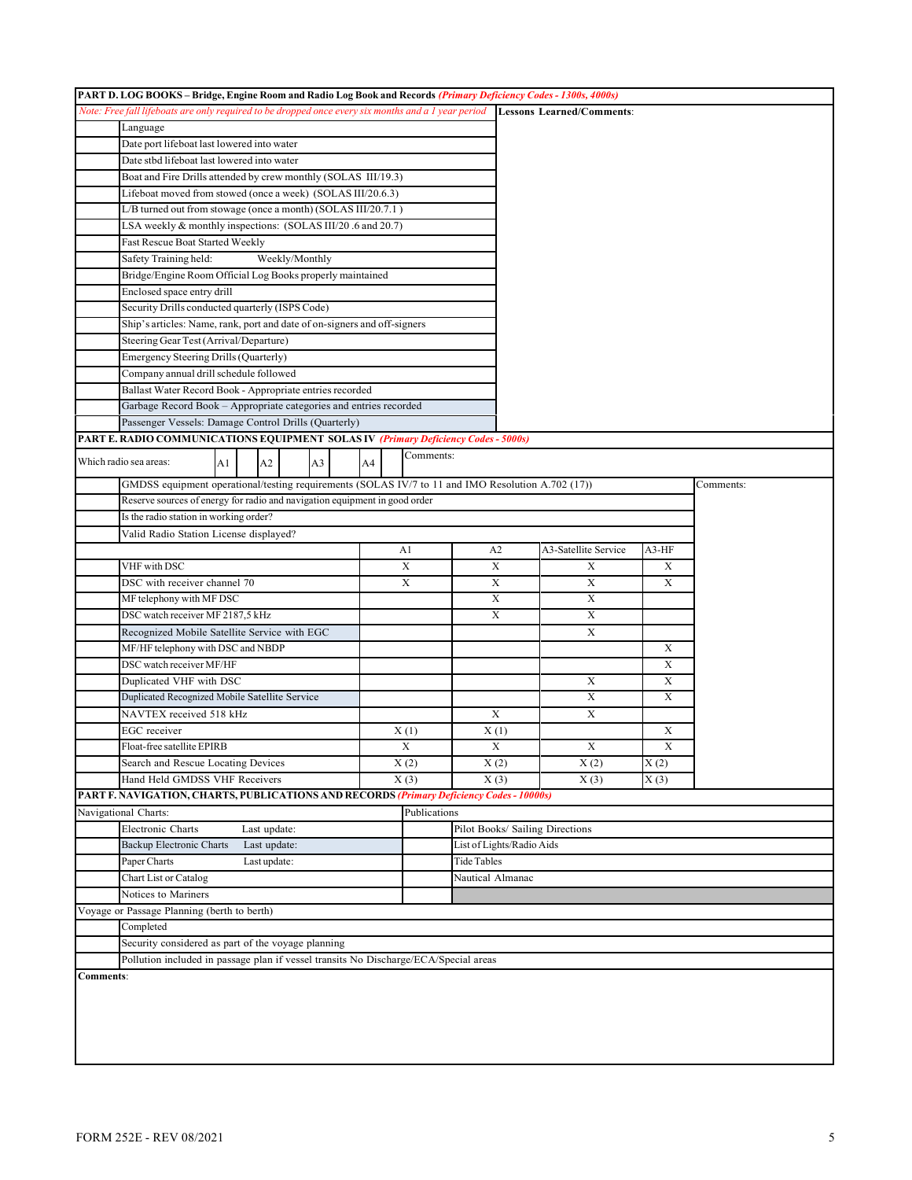|                  | PART D. LOG BOOKS - Bridge, Engine Room and Radio Log Book and Records (Primary Deficiency Codes - 1300s, 4000s) |    |  |                |    |  |    |   |              |                           |                |                                                                                                                               |                   |           |
|------------------|------------------------------------------------------------------------------------------------------------------|----|--|----------------|----|--|----|---|--------------|---------------------------|----------------|-------------------------------------------------------------------------------------------------------------------------------|-------------------|-----------|
|                  |                                                                                                                  |    |  |                |    |  |    |   |              |                           |                | Note: Free fall lifeboats are only required to be dropped once every six months and a 1 year period Lessons Learned/Comments: |                   |           |
|                  | Language                                                                                                         |    |  |                |    |  |    |   |              |                           |                |                                                                                                                               |                   |           |
|                  | Date port lifeboat last lowered into water                                                                       |    |  |                |    |  |    |   |              |                           |                |                                                                                                                               |                   |           |
|                  | Date stbd lifeboat last lowered into water                                                                       |    |  |                |    |  |    |   |              |                           |                |                                                                                                                               |                   |           |
|                  | Boat and Fire Drills attended by crew monthly (SOLAS III/19.3)                                                   |    |  |                |    |  |    |   |              |                           |                |                                                                                                                               |                   |           |
|                  | Lifeboat moved from stowed (once a week) (SOLAS III/20.6.3)                                                      |    |  |                |    |  |    |   |              |                           |                |                                                                                                                               |                   |           |
|                  | L/B turned out from stowage (once a month) (SOLAS III/20.7.1)                                                    |    |  |                |    |  |    |   |              |                           |                |                                                                                                                               |                   |           |
|                  | LSA weekly & monthly inspections: (SOLAS III/20.6 and 20.7)                                                      |    |  |                |    |  |    |   |              |                           |                |                                                                                                                               |                   |           |
|                  | Fast Rescue Boat Started Weekly                                                                                  |    |  |                |    |  |    |   |              |                           |                |                                                                                                                               |                   |           |
|                  | Safety Training held:                                                                                            |    |  | Weekly/Monthly |    |  |    |   |              |                           |                |                                                                                                                               |                   |           |
|                  | Bridge/Engine Room Official Log Books properly maintained                                                        |    |  |                |    |  |    |   |              |                           |                |                                                                                                                               |                   |           |
|                  | Enclosed space entry drill                                                                                       |    |  |                |    |  |    |   |              |                           |                |                                                                                                                               |                   |           |
|                  | Security Drills conducted quarterly (ISPS Code)                                                                  |    |  |                |    |  |    |   |              |                           |                |                                                                                                                               |                   |           |
|                  | Ship's articles: Name, rank, port and date of on-signers and off-signers                                         |    |  |                |    |  |    |   |              |                           |                |                                                                                                                               |                   |           |
|                  | Steering Gear Test (Arrival/Departure)                                                                           |    |  |                |    |  |    |   |              |                           |                |                                                                                                                               |                   |           |
|                  | Emergency Steering Drills (Quarterly)                                                                            |    |  |                |    |  |    |   |              |                           |                |                                                                                                                               |                   |           |
|                  | Company annual drill schedule followed                                                                           |    |  |                |    |  |    |   |              |                           |                |                                                                                                                               |                   |           |
|                  | Ballast Water Record Book - Appropriate entries recorded                                                         |    |  |                |    |  |    |   |              |                           |                |                                                                                                                               |                   |           |
|                  | Garbage Record Book - Appropriate categories and entries recorded                                                |    |  |                |    |  |    |   |              |                           |                |                                                                                                                               |                   |           |
|                  | Passenger Vessels: Damage Control Drills (Quarterly)                                                             |    |  |                |    |  |    |   |              |                           |                |                                                                                                                               |                   |           |
|                  | <b>PART E. RADIO COMMUNICATIONS EQUIPMENT SOLAS IV (Primary Deficiency Codes - 5000s)</b>                        |    |  |                |    |  |    |   |              |                           |                |                                                                                                                               |                   |           |
|                  | Which radio sea areas:                                                                                           | A1 |  | A2             | A3 |  | A4 |   | Comments:    |                           |                |                                                                                                                               |                   |           |
|                  | GMDSS equipment operational/testing requirements (SOLAS IV/7 to 11 and IMO Resolution A.702 (17))                |    |  |                |    |  |    |   |              |                           |                |                                                                                                                               |                   | Comments: |
|                  | Reserve sources of energy for radio and navigation equipment in good order                                       |    |  |                |    |  |    |   |              |                           |                |                                                                                                                               |                   |           |
|                  | Is the radio station in working order?                                                                           |    |  |                |    |  |    |   |              |                           |                |                                                                                                                               |                   |           |
|                  | Valid Radio Station License displayed?                                                                           |    |  |                |    |  |    |   |              |                           |                |                                                                                                                               |                   |           |
|                  |                                                                                                                  |    |  |                |    |  |    |   | A1           |                           | A <sub>2</sub> | A3-Satellite Service                                                                                                          | A3-HF             |           |
|                  | VHF with DSC                                                                                                     |    |  |                |    |  |    | X |              |                           | X              | X                                                                                                                             | X                 |           |
|                  | DSC with receiver channel 70                                                                                     |    |  |                |    |  |    |   | X            |                           | X              | X                                                                                                                             | X                 |           |
|                  | MF telephony with MF DSC                                                                                         |    |  |                |    |  |    |   |              | X                         |                | X                                                                                                                             |                   |           |
|                  | DSC watch receiver MF 2187,5 kHz                                                                                 |    |  |                |    |  |    |   |              |                           | X              | X                                                                                                                             |                   |           |
|                  | Recognized Mobile Satellite Service with EGC                                                                     |    |  |                |    |  |    |   |              |                           |                | X                                                                                                                             |                   |           |
|                  | MF/HF telephony with DSC and NBDP                                                                                |    |  |                |    |  |    |   |              |                           |                |                                                                                                                               | X                 |           |
|                  | DSC watch receiver MF/HF                                                                                         |    |  |                |    |  |    |   |              |                           |                |                                                                                                                               | X                 |           |
|                  | Duplicated VHF with DSC                                                                                          |    |  |                |    |  |    |   |              |                           |                | X                                                                                                                             | X                 |           |
|                  | Duplicated Recognized Mobile Satellite Service                                                                   |    |  |                |    |  |    |   |              |                           |                | X                                                                                                                             | X                 |           |
|                  | NAVTEX received 518 kHz                                                                                          |    |  |                |    |  |    |   |              |                           | X              | X                                                                                                                             |                   |           |
|                  | EGC receiver                                                                                                     |    |  |                |    |  |    |   | X(1)         |                           | X(1)           |                                                                                                                               | Х                 |           |
|                  | Float-free satellite EPIRB                                                                                       |    |  |                |    |  |    |   | X            |                           | X              | X                                                                                                                             | X                 |           |
|                  | Search and Rescue Locating Devices                                                                               |    |  |                |    |  |    |   | X(2)         |                           | X(2)           | X(2)                                                                                                                          | $\overline{X(2)}$ |           |
|                  | Hand Held GMDSS VHF Receivers                                                                                    |    |  |                |    |  |    |   | X(3)         |                           | X(3)           | X(3)                                                                                                                          | X(3)              |           |
|                  | PART F. NAVIGATION, CHARTS, PUBLICATIONS AND RECORDS (Primary Deficiency Codes - 10000s)                         |    |  |                |    |  |    |   |              |                           |                |                                                                                                                               |                   |           |
|                  | Navigational Charts:                                                                                             |    |  |                |    |  |    |   | Publications |                           |                |                                                                                                                               |                   |           |
|                  | Electronic Charts                                                                                                |    |  | Last update:   |    |  |    |   |              |                           |                | Pilot Books/ Sailing Directions                                                                                               |                   |           |
|                  | Backup Electronic Charts                                                                                         |    |  | Last update:   |    |  |    |   |              | List of Lights/Radio Aids |                |                                                                                                                               |                   |           |
|                  | Paper Charts                                                                                                     |    |  | Last update:   |    |  |    |   |              | Tide Tables               |                |                                                                                                                               |                   |           |
|                  | Chart List or Catalog                                                                                            |    |  |                |    |  |    |   |              | Nautical Almanac          |                |                                                                                                                               |                   |           |
|                  | Notices to Mariners                                                                                              |    |  |                |    |  |    |   |              |                           |                |                                                                                                                               |                   |           |
|                  | Voyage or Passage Planning (berth to berth)                                                                      |    |  |                |    |  |    |   |              |                           |                |                                                                                                                               |                   |           |
|                  | Completed                                                                                                        |    |  |                |    |  |    |   |              |                           |                |                                                                                                                               |                   |           |
|                  | Security considered as part of the voyage planning                                                               |    |  |                |    |  |    |   |              |                           |                |                                                                                                                               |                   |           |
|                  | Pollution included in passage plan if vessel transits No Discharge/ECA/Special areas                             |    |  |                |    |  |    |   |              |                           |                |                                                                                                                               |                   |           |
| <b>Comments:</b> |                                                                                                                  |    |  |                |    |  |    |   |              |                           |                |                                                                                                                               |                   |           |
|                  |                                                                                                                  |    |  |                |    |  |    |   |              |                           |                |                                                                                                                               |                   |           |
|                  |                                                                                                                  |    |  |                |    |  |    |   |              |                           |                |                                                                                                                               |                   |           |
|                  |                                                                                                                  |    |  |                |    |  |    |   |              |                           |                |                                                                                                                               |                   |           |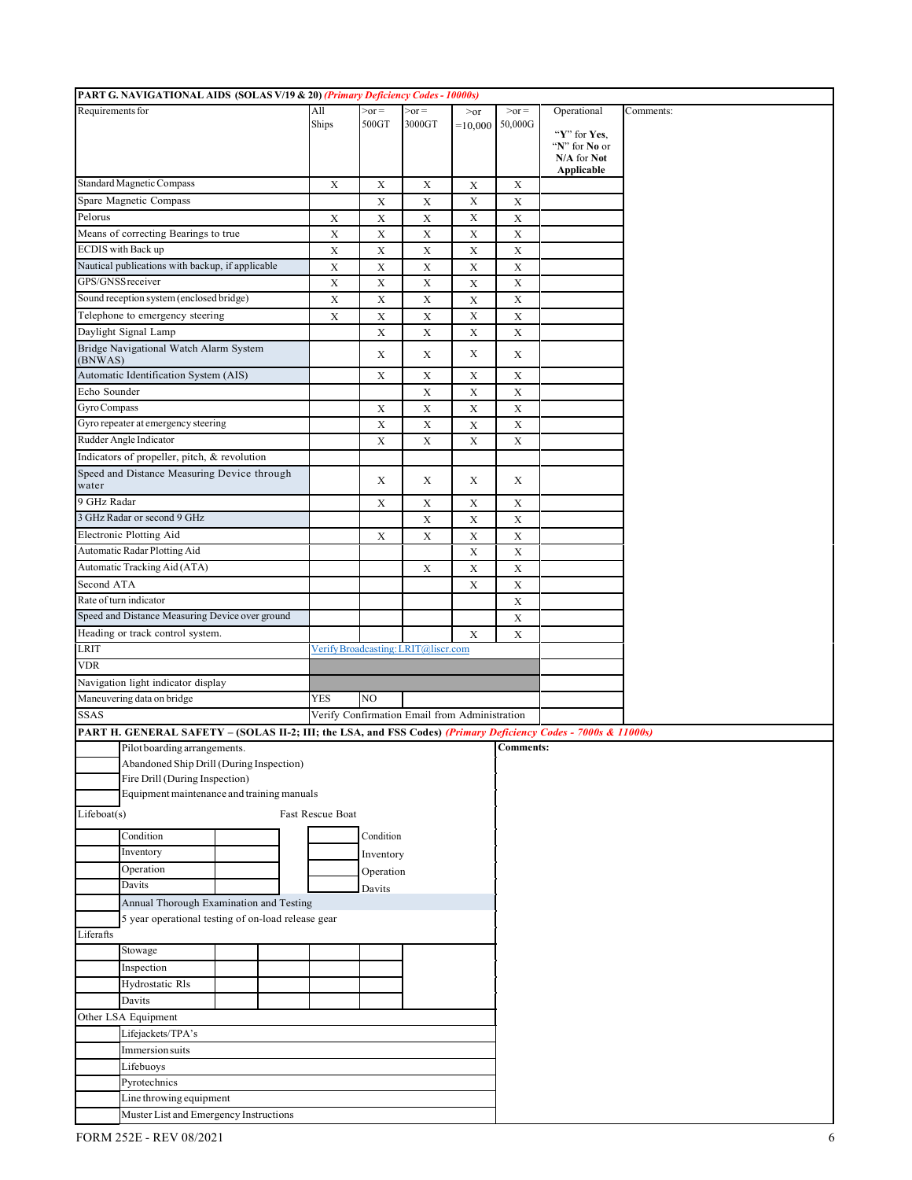| PART G. NAVIGATIONAL AIDS (SOLAS V/19 & 20) (Primary Deficiency Codes - 10000s) |                                                                                                                |  |                  |               |                                               |                 |                  |                               |           |
|---------------------------------------------------------------------------------|----------------------------------------------------------------------------------------------------------------|--|------------------|---------------|-----------------------------------------------|-----------------|------------------|-------------------------------|-----------|
| Requirements for                                                                |                                                                                                                |  | All              | $\gamma$ -or- | $\text{or}$                                   | >o <sub>r</sub> | $>or =$          | Operational                   | Comments: |
|                                                                                 |                                                                                                                |  | Ships            | 500GT         | 3000GT                                        | $=10,000$       | 50,000G          |                               |           |
|                                                                                 |                                                                                                                |  |                  |               |                                               |                 |                  | "Y" for Yes.<br>"N" for No or |           |
|                                                                                 |                                                                                                                |  |                  |               |                                               |                 |                  | N/A for Not                   |           |
|                                                                                 |                                                                                                                |  |                  |               |                                               |                 |                  | Applicable                    |           |
|                                                                                 | Standard Magnetic Compass                                                                                      |  | X                | X             | X                                             | X               | X                |                               |           |
|                                                                                 | Spare Magnetic Compass                                                                                         |  |                  | $\mathbf X$   | $\mathbf X$                                   | $\mathbf X$     | $\mathbf X$      |                               |           |
| Pelorus                                                                         |                                                                                                                |  | $\mathbf X$      | $\mathbf X$   | $\mathbf X$                                   | $\mathbf X$     | $\mathbf X$      |                               |           |
|                                                                                 | Means of correcting Bearings to true                                                                           |  | $\mathbf X$      | $\mathbf X$   | $\mathbf X$                                   | X               | $\mathbf X$      |                               |           |
|                                                                                 | <b>ECDIS</b> with Back up                                                                                      |  | X                | X             | X                                             | X               | X                |                               |           |
|                                                                                 | Nautical publications with backup, if applicable                                                               |  | $\mathbf X$      | $\mathbf X$   | $\mathbf X$                                   | X               | $\mathbf X$      |                               |           |
| GPS/GNSS receiver                                                               |                                                                                                                |  | $\mathbf X$      | $\mathbf X$   | $\mathbf X$                                   | X               | X                |                               |           |
|                                                                                 | Sound reception system (enclosed bridge)                                                                       |  | $\mathbf X$      | X             | $\mathbf X$                                   | X               | $\mathbf X$      |                               |           |
|                                                                                 | Telephone to emergency steering                                                                                |  | $\mathbf X$      | $\mathbf X$   | $\mathbf X$                                   | $\mathbf X$     | $\mathbf X$      |                               |           |
|                                                                                 | Daylight Signal Lamp                                                                                           |  |                  | X             | $\mathbf X$                                   | X               | X                |                               |           |
|                                                                                 | Bridge Navigational Watch Alarm System                                                                         |  |                  |               |                                               |                 |                  |                               |           |
| (BNWAS)                                                                         |                                                                                                                |  |                  | X             | X                                             | X               | $\mathbf X$      |                               |           |
|                                                                                 | Automatic Identification System (AIS)                                                                          |  |                  | X             | X                                             | X               | $\mathbf X$      |                               |           |
| Echo Sounder                                                                    |                                                                                                                |  |                  |               | $\mathbf X$                                   | $\mathbf X$     | X                |                               |           |
| Gyro Compass                                                                    |                                                                                                                |  |                  | X             | $\mathbf X$                                   | X               | $\mathbf X$      |                               |           |
|                                                                                 | Gyro repeater at emergency steering                                                                            |  |                  | X             | X                                             | X               | $\mathbf X$      |                               |           |
|                                                                                 | Rudder Angle Indicator                                                                                         |  |                  |               |                                               |                 |                  |                               |           |
|                                                                                 |                                                                                                                |  |                  | $\mathbf X$   | $\mathbf X$                                   | $\mathbf X$     | $\mathbf X$      |                               |           |
|                                                                                 | Indicators of propeller, pitch, & revolution                                                                   |  |                  |               |                                               |                 |                  |                               |           |
| water                                                                           | Speed and Distance Measuring Device through                                                                    |  |                  | X             | X                                             | X               | X                |                               |           |
| 9 GHz Radar                                                                     |                                                                                                                |  |                  |               |                                               |                 |                  |                               |           |
|                                                                                 | 3 GHz Radar or second 9 GHz                                                                                    |  |                  | X             | $\mathbf X$                                   | X               | $\mathbf X$      |                               |           |
|                                                                                 |                                                                                                                |  |                  |               | $\mathbf X$                                   | X               | $\mathbf X$      |                               |           |
|                                                                                 | Electronic Plotting Aid                                                                                        |  |                  | X             | X                                             | X               | X                |                               |           |
|                                                                                 | Automatic Radar Plotting Aid                                                                                   |  |                  |               |                                               | X               | X                |                               |           |
|                                                                                 | Automatic Tracking Aid (ATA)                                                                                   |  |                  |               | $\mathbf X$                                   | $\mathbf X$     | $\mathbf X$      |                               |           |
| Second ATA                                                                      |                                                                                                                |  |                  |               |                                               | X               | $\mathbf X$      |                               |           |
|                                                                                 | Rate of turn indicator                                                                                         |  |                  |               |                                               |                 | X                |                               |           |
|                                                                                 | Speed and Distance Measuring Device over ground                                                                |  |                  |               |                                               |                 | $\mathbf X$      |                               |           |
|                                                                                 | Heading or track control system.                                                                               |  |                  |               |                                               | X               | X                |                               |           |
| <b>LRIT</b>                                                                     |                                                                                                                |  |                  |               | Verify Broadcasting: LRIT@liscr.com           |                 |                  |                               |           |
| <b>VDR</b>                                                                      |                                                                                                                |  |                  |               |                                               |                 |                  |                               |           |
|                                                                                 | Navigation light indicator display                                                                             |  |                  |               |                                               |                 |                  |                               |           |
|                                                                                 | Maneuvering data on bridge                                                                                     |  | <b>YES</b>       | NO.           |                                               |                 |                  |                               |           |
| <b>SSAS</b>                                                                     |                                                                                                                |  |                  |               | Verify Confirmation Email from Administration |                 |                  |                               |           |
|                                                                                 | PART H. GENERAL SAFETY – (SOLAS II-2; III; the LSA, and FSS Codes) (Primary Deficiency Codes - 7000s & 11000s) |  |                  |               |                                               |                 |                  |                               |           |
|                                                                                 | Pilot boarding arrangements.                                                                                   |  |                  |               |                                               |                 | <b>Comments:</b> |                               |           |
|                                                                                 | Abandoned Ship Drill (During Inspection)                                                                       |  |                  |               |                                               |                 |                  |                               |           |
|                                                                                 | Fire Drill (During Inspection)                                                                                 |  |                  |               |                                               |                 |                  |                               |           |
|                                                                                 | Equipment maintenance and training manuals                                                                     |  |                  |               |                                               |                 |                  |                               |           |
|                                                                                 |                                                                                                                |  |                  |               |                                               |                 |                  |                               |           |
| Lifeboat(s)                                                                     |                                                                                                                |  | Fast Rescue Boat |               |                                               |                 |                  |                               |           |
|                                                                                 | Condition                                                                                                      |  |                  | Condition     |                                               |                 |                  |                               |           |
|                                                                                 | Inventory                                                                                                      |  |                  | Inventory     |                                               |                 |                  |                               |           |
|                                                                                 | Operation                                                                                                      |  |                  | Operation     |                                               |                 |                  |                               |           |
|                                                                                 | Davits                                                                                                         |  |                  | Davits        |                                               |                 |                  |                               |           |
|                                                                                 | Annual Thorough Examination and Testing                                                                        |  |                  |               |                                               |                 |                  |                               |           |
|                                                                                 | 5 year operational testing of on-load release gear                                                             |  |                  |               |                                               |                 |                  |                               |           |
| Liferafts                                                                       |                                                                                                                |  |                  |               |                                               |                 |                  |                               |           |
|                                                                                 | Stowage                                                                                                        |  |                  |               |                                               |                 |                  |                               |           |
|                                                                                 |                                                                                                                |  |                  |               |                                               |                 |                  |                               |           |
|                                                                                 | Inspection                                                                                                     |  |                  |               |                                               |                 |                  |                               |           |
|                                                                                 | Hydrostatic Rls                                                                                                |  |                  |               |                                               |                 |                  |                               |           |
| Davits                                                                          |                                                                                                                |  |                  |               |                                               |                 |                  |                               |           |
|                                                                                 | Other LSA Equipment                                                                                            |  |                  |               |                                               |                 |                  |                               |           |
|                                                                                 | Lifejackets/TPA's                                                                                              |  |                  |               |                                               |                 |                  |                               |           |
|                                                                                 | Immersion suits                                                                                                |  |                  |               |                                               |                 |                  |                               |           |
|                                                                                 | Lifebuoys                                                                                                      |  |                  |               |                                               |                 |                  |                               |           |
|                                                                                 | Pyrotechnics                                                                                                   |  |                  |               |                                               |                 |                  |                               |           |
|                                                                                 | Line throwing equipment                                                                                        |  |                  |               |                                               |                 |                  |                               |           |
|                                                                                 | Muster List and Emergency Instructions                                                                         |  |                  |               |                                               |                 |                  |                               |           |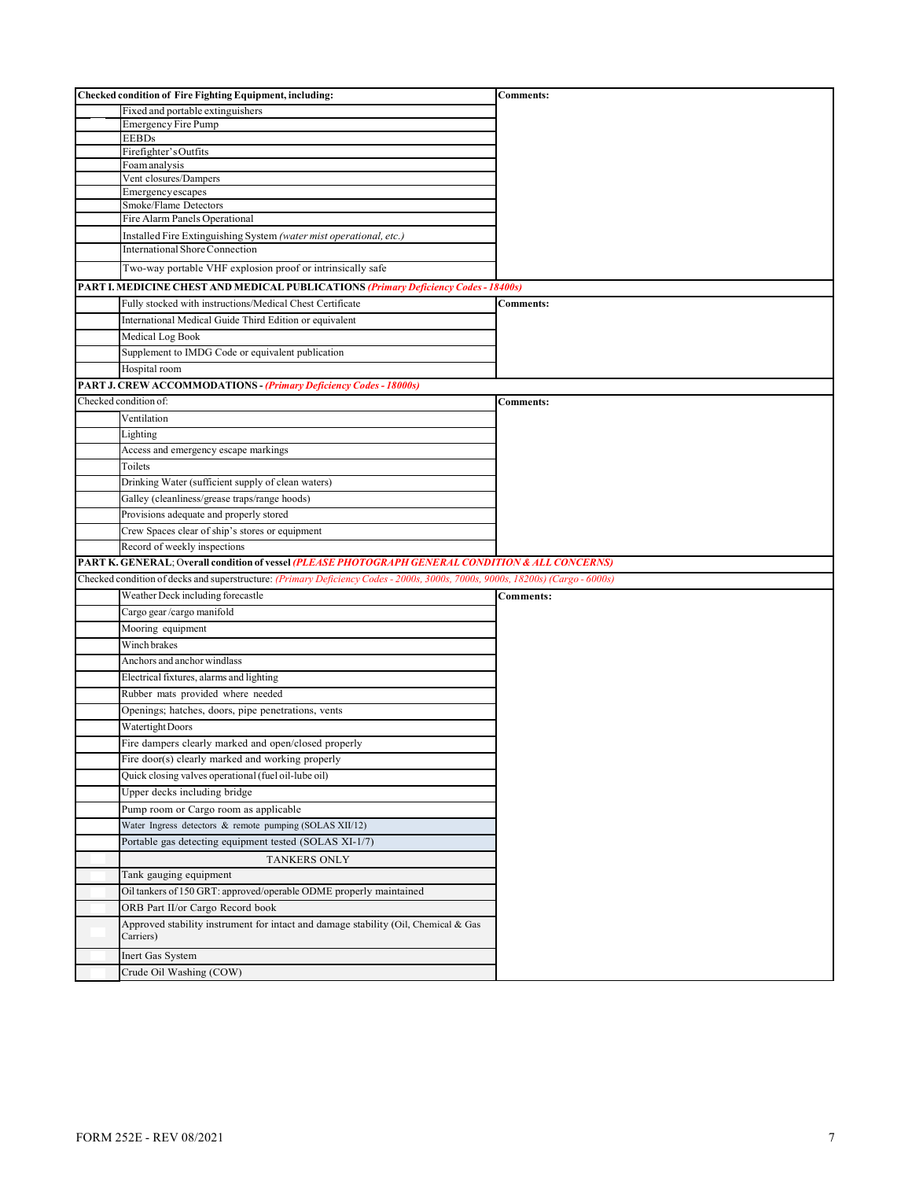| Checked condition of Fire Fighting Equipment, including:                                                                       | <b>Comments:</b> |
|--------------------------------------------------------------------------------------------------------------------------------|------------------|
| Fixed and portable extinguishers                                                                                               |                  |
| <b>Emergency Fire Pump</b>                                                                                                     |                  |
| <b>EEBDs</b><br>Firefighter's Outfits                                                                                          |                  |
| Foam analysis                                                                                                                  |                  |
| Vent closures/Dampers                                                                                                          |                  |
| Emergency escapes                                                                                                              |                  |
| Smoke/Flame Detectors                                                                                                          |                  |
| Fire Alarm Panels Operational                                                                                                  |                  |
| Installed Fire Extinguishing System (water mist operational, etc.)                                                             |                  |
| <b>International Shore Connection</b>                                                                                          |                  |
| Two-way portable VHF explosion proof or intrinsically safe                                                                     |                  |
| PART I. MEDICINE CHEST AND MEDICAL PUBLICATIONS (Primary Deficiency Codes - 18400s)                                            |                  |
| Fully stocked with instructions/Medical Chest Certificate                                                                      | <b>Comments:</b> |
| International Medical Guide Third Edition or equivalent                                                                        |                  |
| Medical Log Book                                                                                                               |                  |
| Supplement to IMDG Code or equivalent publication                                                                              |                  |
| Hospital room                                                                                                                  |                  |
| <b>PART J. CREW ACCOMMODATIONS - (Primary Deficiency Codes - 18000s)</b>                                                       |                  |
| Checked condition of:                                                                                                          | <b>Comments:</b> |
| Ventilation                                                                                                                    |                  |
| Lighting                                                                                                                       |                  |
| Access and emergency escape markings                                                                                           |                  |
| Toilets                                                                                                                        |                  |
| Drinking Water (sufficient supply of clean waters)                                                                             |                  |
| Galley (cleanliness/grease traps/range hoods)                                                                                  |                  |
| Provisions adequate and properly stored                                                                                        |                  |
| Crew Spaces clear of ship's stores or equipment                                                                                |                  |
|                                                                                                                                |                  |
|                                                                                                                                |                  |
| Record of weekly inspections                                                                                                   |                  |
| PART K. GENERAL; Overall condition of vessel (PLEASE PHOTOGRAPH GENERAL CONDITION & ALL CONCERNS)                              |                  |
| Checked condition of decks and superstructure: (Primary Deficiency Codes - 2000s, 3000s, 7000s, 9000s, 18200s) (Cargo - 6000s) |                  |
| Weather Deck including forecastle                                                                                              | <b>Comments:</b> |
| Cargo gear/cargo manifold                                                                                                      |                  |
| Mooring equipment                                                                                                              |                  |
| Winch brakes                                                                                                                   |                  |
| Anchors and anchor windlass                                                                                                    |                  |
| Electrical fixtures, alarms and lighting                                                                                       |                  |
| Rubber mats provided where needed                                                                                              |                  |
| Openings; hatches, doors, pipe penetrations, vents                                                                             |                  |
| Watertight Doors                                                                                                               |                  |
| Fire dampers clearly marked and open/closed properly                                                                           |                  |
| Fire door(s) clearly marked and working properly                                                                               |                  |
| Quick closing valves operational (fuel oil-lube oil)                                                                           |                  |
| Upper decks including bridge                                                                                                   |                  |
| Pump room or Cargo room as applicable                                                                                          |                  |
| Water Ingress detectors & remote pumping (SOLAS XII/12)                                                                        |                  |
| Portable gas detecting equipment tested (SOLAS XI-1/7)                                                                         |                  |
| <b>TANKERS ONLY</b>                                                                                                            |                  |
| Tank gauging equipment                                                                                                         |                  |
| Oil tankers of 150 GRT: approved/operable ODME properly maintained                                                             |                  |
| ORB Part II/or Cargo Record book                                                                                               |                  |
| Approved stability instrument for intact and damage stability (Oil, Chemical & Gas<br>Carriers)                                |                  |
| Inert Gas System                                                                                                               |                  |
| Crude Oil Washing (COW)                                                                                                        |                  |